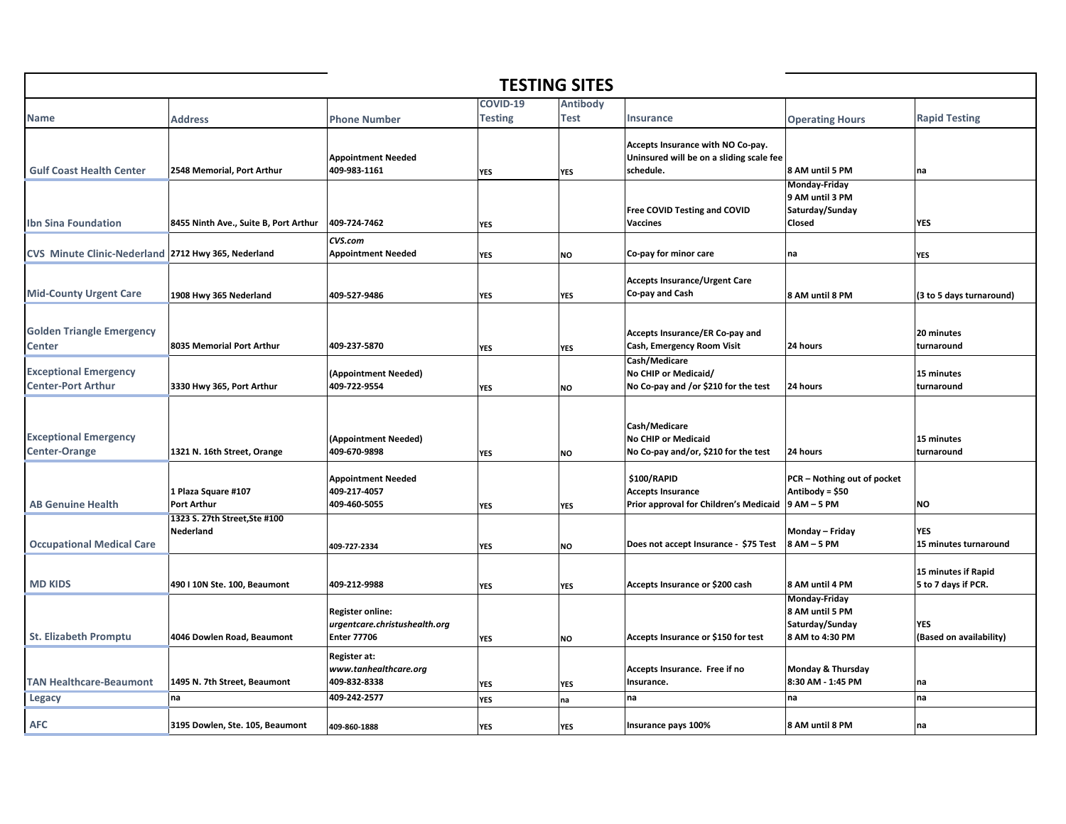| <b>TESTING SITES</b>                                      |                                            |                                                                                |                            |                         |                                                                                            |                                                                        |                                            |  |  |  |  |
|-----------------------------------------------------------|--------------------------------------------|--------------------------------------------------------------------------------|----------------------------|-------------------------|--------------------------------------------------------------------------------------------|------------------------------------------------------------------------|--------------------------------------------|--|--|--|--|
| <b>Name</b>                                               | <b>Address</b>                             | <b>Phone Number</b>                                                            | COVID-19<br><b>Testing</b> | <b>Antibody</b><br>Test | <b>Insurance</b>                                                                           | <b>Operating Hours</b>                                                 | <b>Rapid Testing</b>                       |  |  |  |  |
| <b>Gulf Coast Health Center</b>                           | 2548 Memorial, Port Arthur                 | <b>Appointment Needed</b><br>409-983-1161                                      | YES                        | <b>YES</b>              | Accepts Insurance with NO Co-pay.<br>Uninsured will be on a sliding scale fee<br>schedule. | 8 AM until 5 PM                                                        | na                                         |  |  |  |  |
| <b>Ibn Sina Foundation</b>                                | 8455 Ninth Ave., Suite B, Port Arthur      | 409-724-7462                                                                   | YES                        |                         | Free COVID Testing and COVID<br><b>Vaccines</b>                                            | Monday-Friday<br>9 AM until 3 PM<br>Saturday/Sunday<br>Closed          | <b>YES</b>                                 |  |  |  |  |
| CVS Minute Clinic-Nederland 2712 Hwy 365, Nederland       |                                            | CVS.com<br><b>Appointment Needed</b>                                           | <b>YES</b>                 | <b>NO</b>               | Co-pay for minor care                                                                      | na                                                                     | <b>YES</b>                                 |  |  |  |  |
| <b>Mid-County Urgent Care</b>                             | 1908 Hwy 365 Nederland                     | 409-527-9486                                                                   | YES                        | <b>YES</b>              | <b>Accepts Insurance/Urgent Care</b><br>Co-pay and Cash                                    | 8 AM until 8 PM                                                        | (3 to 5 days turnaround)                   |  |  |  |  |
| <b>Golden Triangle Emergency</b><br><b>Center</b>         | 8035 Memorial Port Arthur                  | 409-237-5870                                                                   | <b>YES</b>                 | <b>YES</b>              | Accepts Insurance/ER Co-pay and<br>Cash, Emergency Room Visit                              | 24 hours                                                               | 20 minutes<br>turnaround                   |  |  |  |  |
| <b>Exceptional Emergency</b><br><b>Center-Port Arthur</b> | 3330 Hwy 365, Port Arthur                  | (Appointment Needed)<br>409-722-9554                                           | <b>YES</b>                 | <b>NO</b>               | Cash/Medicare<br>No CHIP or Medicaid/<br>No Co-pay and /or \$210 for the test              | 24 hours                                                               | 15 minutes<br>turnaround                   |  |  |  |  |
| <b>Exceptional Emergency</b><br><b>Center-Orange</b>      | 1321 N. 16th Street, Orange                | (Appointment Needed)<br>409-670-9898                                           | <b>YES</b>                 | <b>NO</b>               | Cash/Medicare<br><b>No CHIP or Medicaid</b><br>No Co-pay and/or, \$210 for the test        | 24 hours                                                               | 15 minutes<br>turnaround                   |  |  |  |  |
| <b>AB Genuine Health</b>                                  | 1 Plaza Square #107<br>Port Arthur         | <b>Appointment Needed</b><br>409-217-4057<br>409-460-5055                      | YES                        | <b>YES</b>              | \$100/RAPID<br><b>Accepts Insurance</b><br>Prior approval for Children's Medicaid          | PCR - Nothing out of pocket<br>Antibody = \$50<br>9 AM - 5 PM          | <b>NO</b>                                  |  |  |  |  |
| <b>Occupational Medical Care</b>                          | 1323 S. 27th Street, Ste #100<br>Nederland | 409-727-2334                                                                   | YES                        | <b>NO</b>               | Does not accept Insurance - \$75 Test                                                      | Monday – Friday<br>8 AM - 5 PM                                         | <b>YES</b><br>15 minutes turnaround        |  |  |  |  |
| <b>MD KIDS</b>                                            | 490 I 10N Ste. 100, Beaumont               | 409-212-9988                                                                   | <b>YES</b>                 | <b>YES</b>              | Accepts Insurance or \$200 cash                                                            | 8 AM until 4 PM                                                        | 15 minutes if Rapid<br>5 to 7 days if PCR. |  |  |  |  |
| <b>St. Elizabeth Promptu</b>                              | 4046 Dowlen Road, Beaumont                 | <b>Register online:</b><br>urgentcare.christushealth.org<br><b>Enter 77706</b> | <b>YES</b>                 | <b>NO</b>               | Accepts Insurance or \$150 for test                                                        | Monday-Friday<br>8 AM until 5 PM<br>Saturday/Sunday<br>8 AM to 4:30 PM | <b>YES</b><br>(Based on availability)      |  |  |  |  |
| <b>TAN Healthcare-Beaumont</b>                            | 1495 N. 7th Street, Beaumont               | Register at:<br>www.tanhealthcare.org<br>409-832-8338                          | <b>YES</b>                 | <b>YES</b>              | Accepts Insurance. Free if no<br>Insurance.                                                | Monday & Thursday<br>8:30 AM - 1:45 PM                                 | na                                         |  |  |  |  |
| <b>Legacy</b>                                             | na                                         | 409-242-2577                                                                   | YES                        | na                      | na                                                                                         | na                                                                     | na                                         |  |  |  |  |
| <b>AFC</b>                                                | 3195 Dowlen, Ste. 105, Beaumont            | 409-860-1888                                                                   | <b>YES</b>                 | <b>YES</b>              | Insurance pays 100%                                                                        | 8 AM until 8 PM                                                        | na                                         |  |  |  |  |